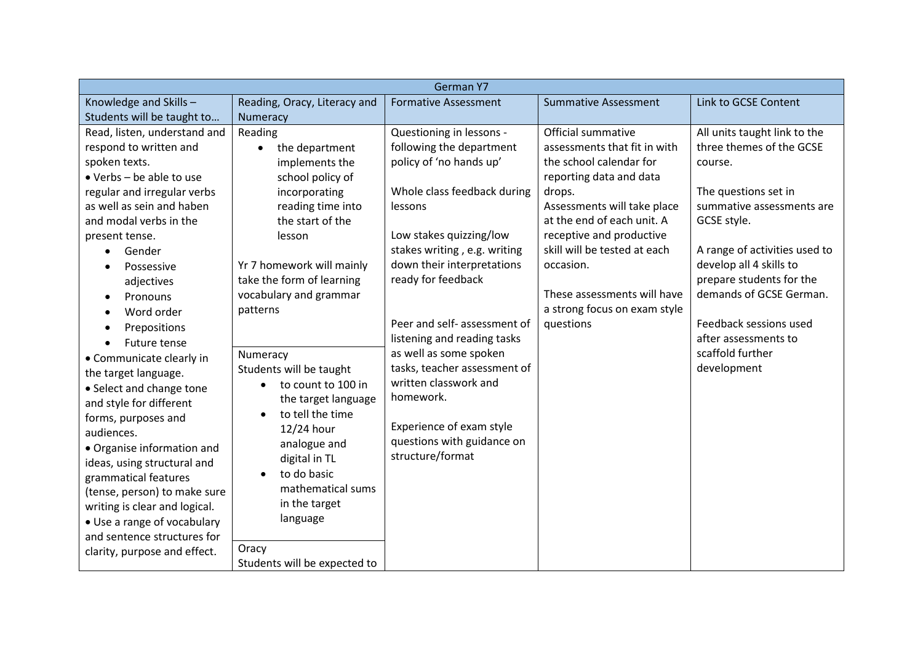| German Y7                        |                                 |                              |                              |                               |
|----------------------------------|---------------------------------|------------------------------|------------------------------|-------------------------------|
| Knowledge and Skills-            | Reading, Oracy, Literacy and    | <b>Formative Assessment</b>  | <b>Summative Assessment</b>  | Link to GCSE Content          |
| Students will be taught to       | Numeracy                        |                              |                              |                               |
| Read, listen, understand and     | Reading                         | Questioning in lessons -     | Official summative           | All units taught link to the  |
| respond to written and           | the department<br>$\bullet$     | following the department     | assessments that fit in with | three themes of the GCSE      |
| spoken texts.                    | implements the                  | policy of 'no hands up'      | the school calendar for      | course.                       |
| $\bullet$ Verbs - be able to use | school policy of                |                              | reporting data and data      |                               |
| regular and irregular verbs      | incorporating                   | Whole class feedback during  | drops.                       | The questions set in          |
| as well as sein and haben        | reading time into               | lessons                      | Assessments will take place  | summative assessments are     |
| and modal verbs in the           | the start of the                |                              | at the end of each unit. A   | GCSE style.                   |
| present tense.                   | lesson                          | Low stakes quizzing/low      | receptive and productive     |                               |
| Gender                           |                                 | stakes writing, e.g. writing | skill will be tested at each | A range of activities used to |
| Possessive                       | Yr 7 homework will mainly       | down their interpretations   | occasion.                    | develop all 4 skills to       |
| adjectives                       | take the form of learning       | ready for feedback           |                              | prepare students for the      |
| Pronouns                         | vocabulary and grammar          |                              | These assessments will have  | demands of GCSE German.       |
| Word order                       | patterns                        |                              | a strong focus on exam style |                               |
| Prepositions<br>$\bullet$        |                                 | Peer and self- assessment of | questions                    | Feedback sessions used        |
| Future tense                     |                                 | listening and reading tasks  |                              | after assessments to          |
| • Communicate clearly in         | Numeracy                        | as well as some spoken       |                              | scaffold further              |
| the target language.             | Students will be taught         | tasks, teacher assessment of |                              | development                   |
| • Select and change tone         | to count to 100 in<br>$\bullet$ | written classwork and        |                              |                               |
| and style for different          | the target language             | homework.                    |                              |                               |
| forms, purposes and              | to tell the time                |                              |                              |                               |
| audiences.                       | 12/24 hour                      | Experience of exam style     |                              |                               |
| • Organise information and       | analogue and                    | questions with guidance on   |                              |                               |
| ideas, using structural and      | digital in TL                   | structure/format             |                              |                               |
| grammatical features             | to do basic                     |                              |                              |                               |
| (tense, person) to make sure     | mathematical sums               |                              |                              |                               |
| writing is clear and logical.    | in the target                   |                              |                              |                               |
| • Use a range of vocabulary      | language                        |                              |                              |                               |
| and sentence structures for      |                                 |                              |                              |                               |
| clarity, purpose and effect.     | Oracy                           |                              |                              |                               |
|                                  | Students will be expected to    |                              |                              |                               |